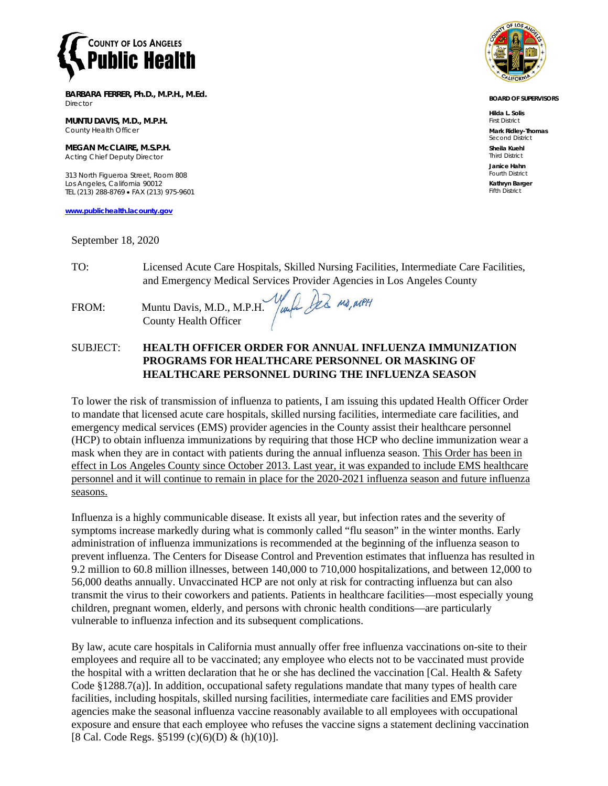

**BARBARA FERRER, Ph.D., M.P.H., M.Ed.** Director

**MUNTU DAVIS, M.D., M.P.H.** County Health Officer

**MEGAN McCLAIRE, M.S.P.H.** Acting Chief Deputy Director

313 North Figueroa Street, Room 808 Los Angeles, California 90012 TEL (213) 288-8769 • FAX (213) 975-9601

**[www.publichealth.lacounty.gov](http://www.publichealth.lacounty.gov/)**

September 18, 2020

**BOARD OF SUPERVISORS**

**Hilda L. Solis** First District **Mark Ridley-Thomas**

Second District **Sheila Kuehl** Third District **Janice Hahn**

Fourth District **Kathryn Barger** Fifth District

TO: Licensed Acute Care Hospitals, Skilled Nursing Facilities, Intermediate Care Facilities, and Emergency Medical Services Provider Agencies in Los Angeles County<br>Muntu Davis, M.D., M.P.H. *Jumpy D2* Mg, MPH

FROM: Muntu Davis, M.D., M.P.H. County Health Officer

## SUBJECT: **HEALTH OFFICER ORDER FOR ANNUAL INFLUENZA IMMUNIZATION PROGRAMS FOR HEALTHCARE PERSONNEL OR MASKING OF HEALTHCARE PERSONNEL DURING THE INFLUENZA SEASON**

To lower the risk of transmission of influenza to patients, I am issuing this updated Health Officer Order to mandate that licensed acute care hospitals, skilled nursing facilities, intermediate care facilities, and emergency medical services (EMS) provider agencies in the County assist their healthcare personnel (HCP) to obtain influenza immunizations by requiring that those HCP who decline immunization wear a mask when they are in contact with patients during the annual influenza season. This Order has been in effect in Los Angeles County since October 2013. Last year, it was expanded to include EMS healthcare personnel and it will continue to remain in place for the 2020-2021 influenza season and future influenza seasons.

Influenza is a highly communicable disease. It exists all year, but infection rates and the severity of symptoms increase markedly during what is commonly called "flu season" in the winter months. Early administration of influenza immunizations is recommended at the beginning of the influenza season to prevent influenza. The Centers for Disease Control and Prevention estimates that influenza has resulted in 9.2 million to 60.8 million illnesses, between 140,000 to 710,000 hospitalizations, and between 12,000 to 56,000 deaths annually. Unvaccinated HCP are not only at risk for contracting influenza but can also transmit the virus to their coworkers and patients. Patients in healthcare facilities—most especially young children, pregnant women, elderly, and persons with chronic health conditions—are particularly vulnerable to influenza infection and its subsequent complications.

By law, acute care hospitals in California must annually offer free influenza vaccinations on-site to their employees and require all to be vaccinated; any employee who elects not to be vaccinated must provide the hospital with a written declaration that he or she has declined the vaccination [Cal. Health & Safety Code §1288.7(a)]. In addition, occupational safety regulations mandate that many types of health care facilities, including hospitals, skilled nursing facilities, intermediate care facilities and EMS provider agencies make the seasonal influenza vaccine reasonably available to all employees with occupational exposure and ensure that each employee who refuses the vaccine signs a statement declining vaccination [8 Cal. Code Regs. §5199 (c)(6)(D) & (h)(10)].